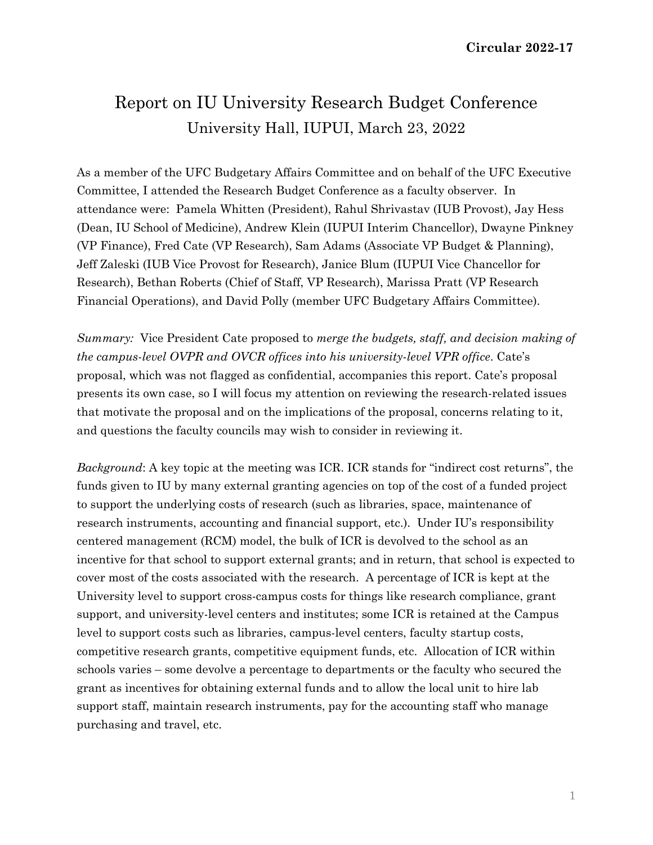# Report on IU University Research Budget Conference University Hall, IUPUI, March 23, 2022

As a member of the UFC Budgetary Affairs Committee and on behalf of the UFC Executive Committee, I attended the Research Budget Conference as a faculty observer. In attendance were: Pamela Whitten (President), Rahul Shrivastav (IUB Provost), Jay Hess (Dean, IU School of Medicine), Andrew Klein (IUPUI Interim Chancellor), Dwayne Pinkney (VP Finance), Fred Cate (VP Research), Sam Adams (Associate VP Budget & Planning), Jeff Zaleski (IUB Vice Provost for Research), Janice Blum (IUPUI Vice Chancellor for Research), Bethan Roberts (Chief of Staff, VP Research), Marissa Pratt (VP Research Financial Operations), and David Polly (member UFC Budgetary Affairs Committee).

*Summary:* Vice President Cate proposed to *merge the budgets, staff, and decision making of the campus-level OVPR and OVCR offices into his university-level VPR office*. Cate's proposal, which was not flagged as confidential, accompanies this report. Cate's proposal presents its own case, so I will focus my attention on reviewing the research-related issues that motivate the proposal and on the implications of the proposal, concerns relating to it, and questions the faculty councils may wish to consider in reviewing it.

*Background*: A key topic at the meeting was ICR. ICR stands for "indirect cost returns", the funds given to IU by many external granting agencies on top of the cost of a funded project to support the underlying costs of research (such as libraries, space, maintenance of research instruments, accounting and financial support, etc.). Under IU's responsibility centered management (RCM) model, the bulk of ICR is devolved to the school as an incentive for that school to support external grants; and in return, that school is expected to cover most of the costs associated with the research. A percentage of ICR is kept at the University level to support cross-campus costs for things like research compliance, grant support, and university-level centers and institutes; some ICR is retained at the Campus level to support costs such as libraries, campus-level centers, faculty startup costs, competitive research grants, competitive equipment funds, etc. Allocation of ICR within schools varies – some devolve a percentage to departments or the faculty who secured the grant as incentives for obtaining external funds and to allow the local unit to hire lab support staff, maintain research instruments, pay for the accounting staff who manage purchasing and travel, etc.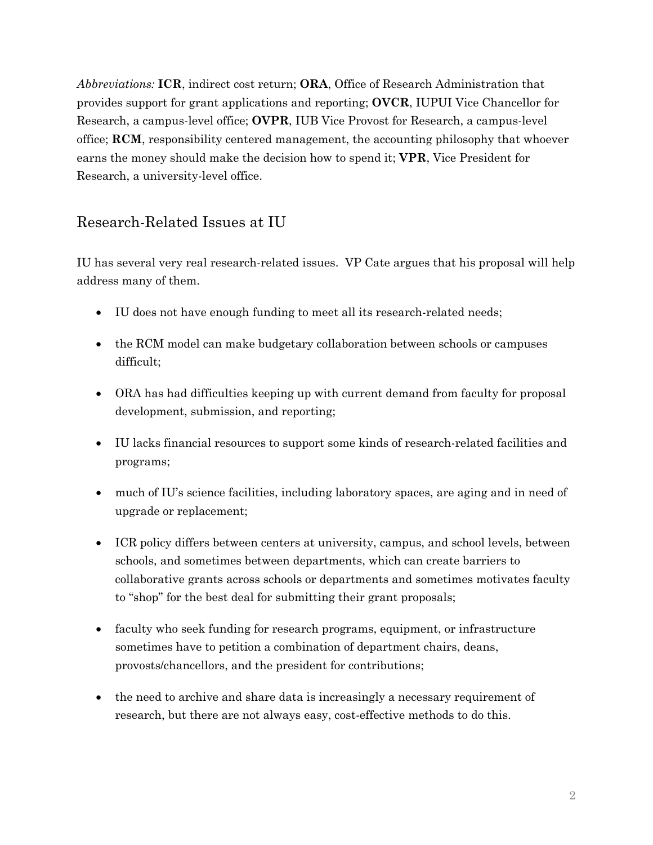*Abbreviations:* **ICR**, indirect cost return; **ORA**, Office of Research Administration that provides support for grant applications and reporting; **OVCR**, IUPUI Vice Chancellor for Research, a campus-level office; **OVPR**, IUB Vice Provost for Research, a campus-level office; **RCM**, responsibility centered management, the accounting philosophy that whoever earns the money should make the decision how to spend it; **VPR**, Vice President for Research, a university-level office.

## Research-Related Issues at IU

IU has several very real research-related issues. VP Cate argues that his proposal will help address many of them.

- IU does not have enough funding to meet all its research-related needs;
- the RCM model can make budgetary collaboration between schools or campuses difficult;
- ORA has had difficulties keeping up with current demand from faculty for proposal development, submission, and reporting;
- IU lacks financial resources to support some kinds of research-related facilities and programs;
- much of IU's science facilities, including laboratory spaces, are aging and in need of upgrade or replacement;
- ICR policy differs between centers at university, campus, and school levels, between schools, and sometimes between departments, which can create barriers to collaborative grants across schools or departments and sometimes motivates faculty to "shop" for the best deal for submitting their grant proposals;
- faculty who seek funding for research programs, equipment, or infrastructure sometimes have to petition a combination of department chairs, deans, provosts/chancellors, and the president for contributions;
- the need to archive and share data is increasingly a necessary requirement of research, but there are not always easy, cost-effective methods to do this.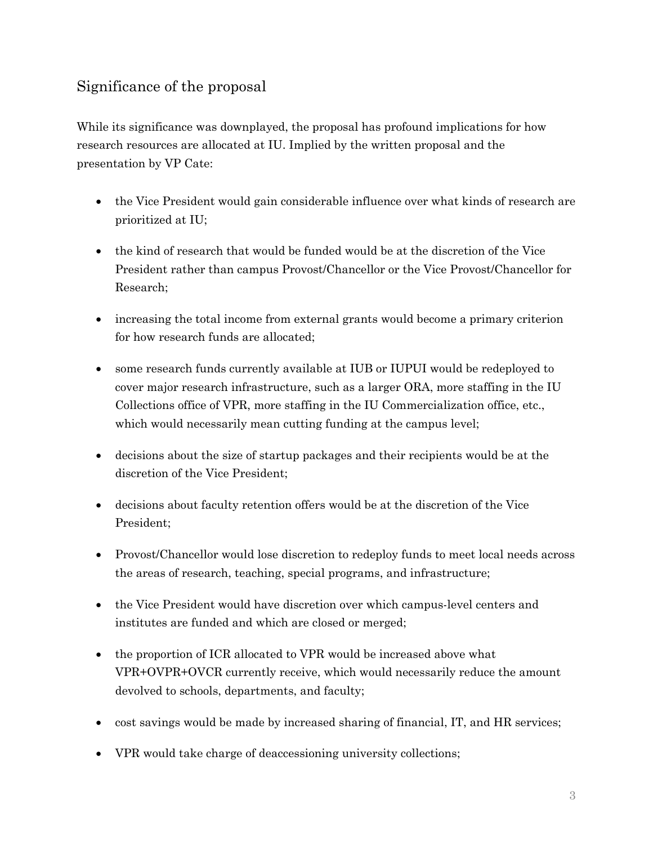## Significance of the proposal

While its significance was downplayed, the proposal has profound implications for how research resources are allocated at IU. Implied by the written proposal and the presentation by VP Cate:

- the Vice President would gain considerable influence over what kinds of research are prioritized at IU;
- the kind of research that would be funded would be at the discretion of the Vice President rather than campus Provost/Chancellor or the Vice Provost/Chancellor for Research;
- increasing the total income from external grants would become a primary criterion for how research funds are allocated;
- some research funds currently available at IUB or IUPUI would be redeployed to cover major research infrastructure, such as a larger ORA, more staffing in the IU Collections office of VPR, more staffing in the IU Commercialization office, etc., which would necessarily mean cutting funding at the campus level;
- decisions about the size of startup packages and their recipients would be at the discretion of the Vice President;
- decisions about faculty retention offers would be at the discretion of the Vice President;
- Provost/Chancellor would lose discretion to redeploy funds to meet local needs across the areas of research, teaching, special programs, and infrastructure;
- the Vice President would have discretion over which campus-level centers and institutes are funded and which are closed or merged;
- the proportion of ICR allocated to VPR would be increased above what VPR+OVPR+OVCR currently receive, which would necessarily reduce the amount devolved to schools, departments, and faculty;
- cost savings would be made by increased sharing of financial, IT, and HR services;
- VPR would take charge of deaccessioning university collections;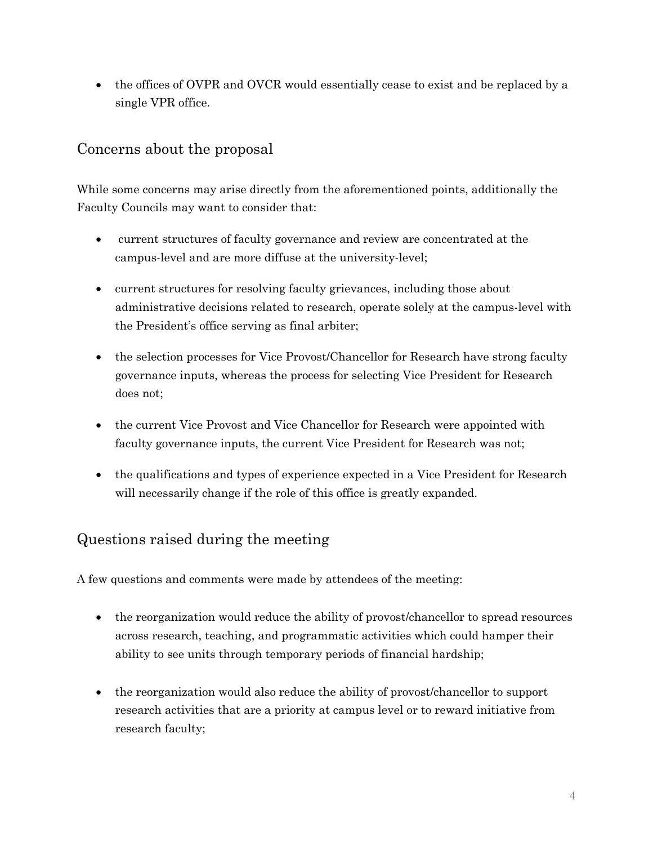• the offices of OVPR and OVCR would essentially cease to exist and be replaced by a single VPR office.

#### Concerns about the proposal

While some concerns may arise directly from the aforementioned points, additionally the Faculty Councils may want to consider that:

- current structures of faculty governance and review are concentrated at the campus-level and are more diffuse at the university-level;
- current structures for resolving faculty grievances, including those about administrative decisions related to research, operate solely at the campus-level with the President's office serving as final arbiter;
- the selection processes for Vice Provost/Chancellor for Research have strong faculty governance inputs, whereas the process for selecting Vice President for Research does not;
- the current Vice Provost and Vice Chancellor for Research were appointed with faculty governance inputs, the current Vice President for Research was not;
- the qualifications and types of experience expected in a Vice President for Research will necessarily change if the role of this office is greatly expanded.

## Questions raised during the meeting

A few questions and comments were made by attendees of the meeting:

- the reorganization would reduce the ability of provost/chancellor to spread resources across research, teaching, and programmatic activities which could hamper their ability to see units through temporary periods of financial hardship;
- the reorganization would also reduce the ability of provost/chancellor to support research activities that are a priority at campus level or to reward initiative from research faculty;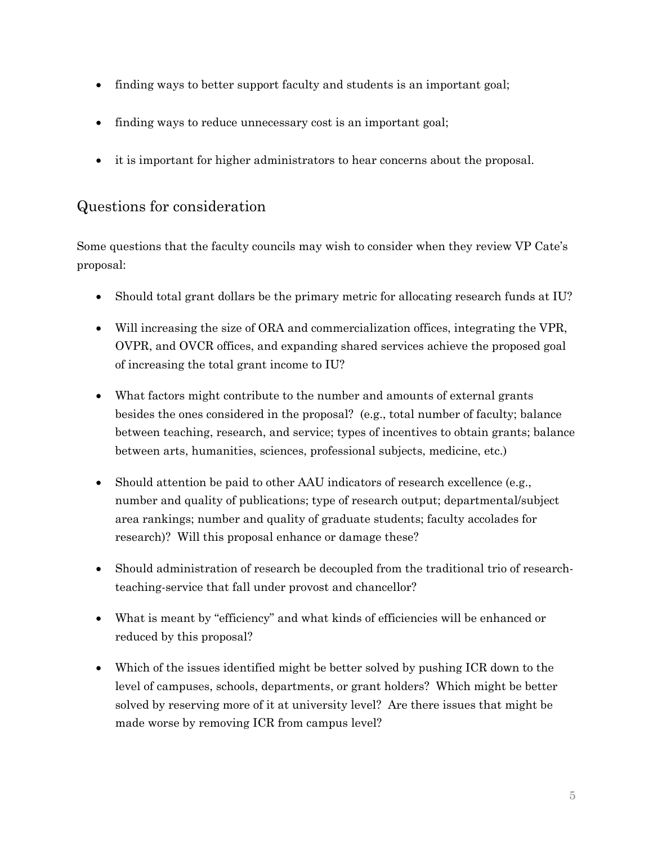- finding ways to better support faculty and students is an important goal;
- finding ways to reduce unnecessary cost is an important goal;
- it is important for higher administrators to hear concerns about the proposal.

#### Questions for consideration

Some questions that the faculty councils may wish to consider when they review VP Cate's proposal:

- Should total grant dollars be the primary metric for allocating research funds at IU?
- Will increasing the size of ORA and commercialization offices, integrating the VPR, OVPR, and OVCR offices, and expanding shared services achieve the proposed goal of increasing the total grant income to IU?
- What factors might contribute to the number and amounts of external grants besides the ones considered in the proposal? (e.g., total number of faculty; balance between teaching, research, and service; types of incentives to obtain grants; balance between arts, humanities, sciences, professional subjects, medicine, etc.)
- Should attention be paid to other AAU indicators of research excellence (e.g., number and quality of publications; type of research output; departmental/subject area rankings; number and quality of graduate students; faculty accolades for research)? Will this proposal enhance or damage these?
- Should administration of research be decoupled from the traditional trio of researchteaching-service that fall under provost and chancellor?
- What is meant by "efficiency" and what kinds of efficiencies will be enhanced or reduced by this proposal?
- Which of the issues identified might be better solved by pushing ICR down to the level of campuses, schools, departments, or grant holders? Which might be better solved by reserving more of it at university level? Are there issues that might be made worse by removing ICR from campus level?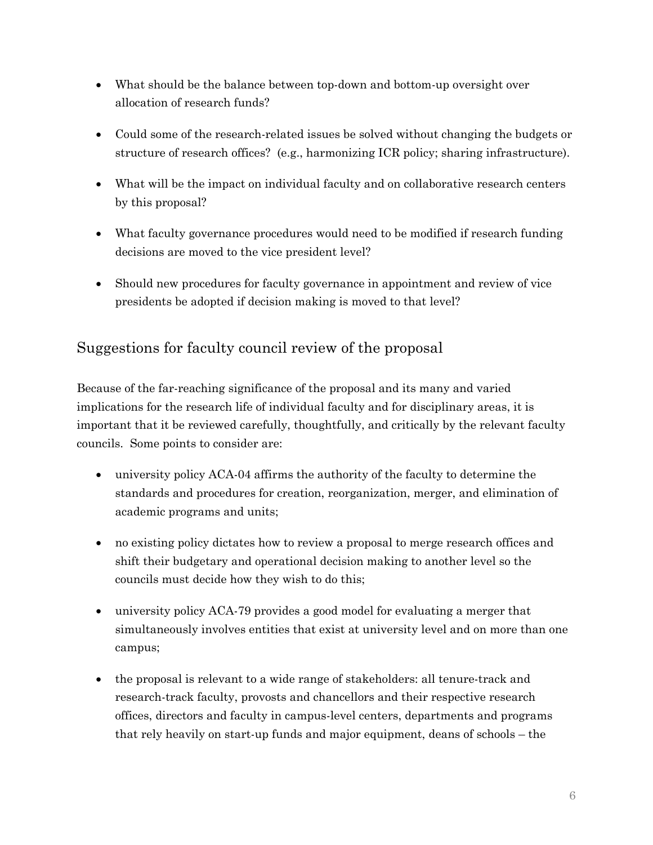- What should be the balance between top-down and bottom-up oversight over allocation of research funds?
- Could some of the research-related issues be solved without changing the budgets or structure of research offices? (e.g., harmonizing ICR policy; sharing infrastructure).
- What will be the impact on individual faculty and on collaborative research centers by this proposal?
- What faculty governance procedures would need to be modified if research funding decisions are moved to the vice president level?
- Should new procedures for faculty governance in appointment and review of vice presidents be adopted if decision making is moved to that level?

#### Suggestions for faculty council review of the proposal

Because of the far-reaching significance of the proposal and its many and varied implications for the research life of individual faculty and for disciplinary areas, it is important that it be reviewed carefully, thoughtfully, and critically by the relevant faculty councils. Some points to consider are:

- university policy ACA-04 affirms the authority of the faculty to determine the standards and procedures for creation, reorganization, merger, and elimination of academic programs and units;
- no existing policy dictates how to review a proposal to merge research offices and shift their budgetary and operational decision making to another level so the councils must decide how they wish to do this;
- university policy ACA-79 provides a good model for evaluating a merger that simultaneously involves entities that exist at university level and on more than one campus;
- the proposal is relevant to a wide range of stakeholders: all tenure-track and research-track faculty, provosts and chancellors and their respective research offices, directors and faculty in campus-level centers, departments and programs that rely heavily on start-up funds and major equipment, deans of schools – the